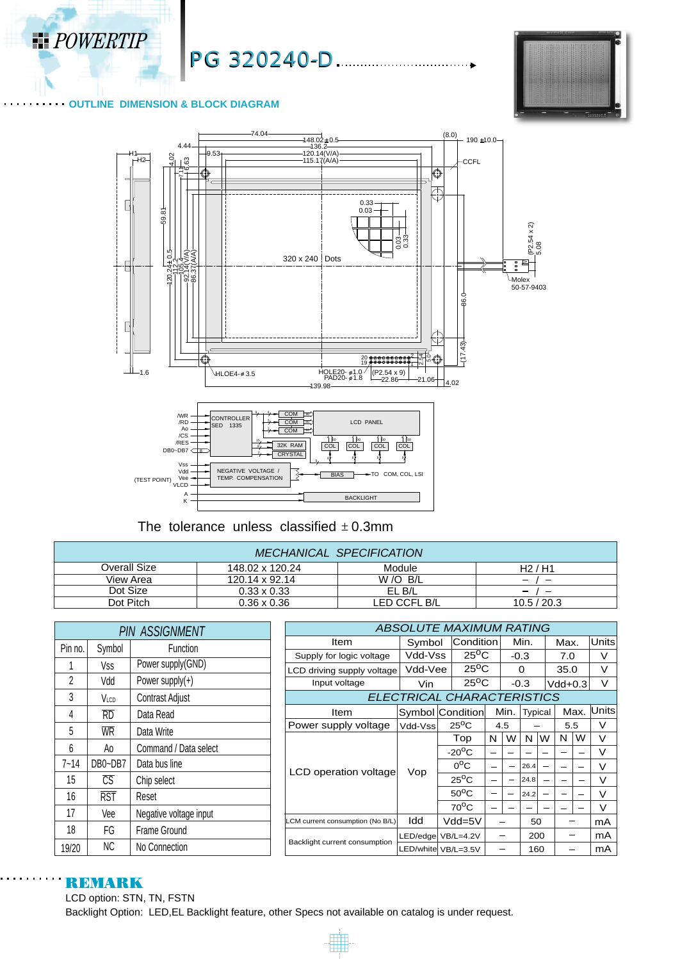

PG 320240-D.



#### **OUTLINE DIMENSION & BLOCK DIAGRAM**



The tolerance unless classified  $\pm$  0.3mm

| <b>MECHANICAL SPECIFICATION</b> |                       |              |             |  |  |  |  |
|---------------------------------|-----------------------|--------------|-------------|--|--|--|--|
| Overall Size                    | 148.02 x 120.24       | Module       | H2/H1       |  |  |  |  |
| View Area                       | $120.14 \times 92.14$ | W/O B/L      | -           |  |  |  |  |
| Dot Size                        | $0.33 \times 0.33$    | EL B/L       | -           |  |  |  |  |
| Dot Pitch                       | $0.36 \times 0.36$    | LED CCFL B/L | 10.5 / 20.3 |  |  |  |  |

|          |                         | <b>PIN ASSIGNMENT</b>  | <b>ABSOLUTE MAXIMUM RATING</b>   |         |                                   |                          |                          |          |                          |                          |      |              |
|----------|-------------------------|------------------------|----------------------------------|---------|-----------------------------------|--------------------------|--------------------------|----------|--------------------------|--------------------------|------|--------------|
| Pin no.  | Symbol                  | Function               | Item                             | Symbol  | Condition                         |                          |                          | Min.     |                          | Max.                     |      | <b>Units</b> |
|          |                         |                        | Supply for logic voltage         | Vdd-Vss | $25^{\circ}$ C                    |                          | $-0.3$                   |          |                          | 7.0                      |      | V            |
|          | Vss                     | Power supply(GND)      | LCD driving supply voltage       | Vdd-Vee | $25^{\circ}$ C                    |                          |                          | $\Omega$ |                          | 35.0                     |      | $\vee$       |
| 2        | Vdd                     | Power supply $(+)$     | Input voltage                    | Vin     | $25^{\circ}$ C                    |                          | $-0.3$                   |          |                          | $Vdd+0.3$                |      | $\vee$       |
| 3        | Vlcd                    | Contrast Adjust        |                                  |         | <b>ELECTRICAL CHARACTERISTICS</b> |                          |                          |          |                          |                          |      |              |
| 4        | RD                      | Data Read              | Item                             |         | Symbol Condition                  |                          | Min.                     | Typical  |                          |                          | Max. | Units        |
| 5        | <b>WR</b>               | Data Write             | Power supply voltage             | Vdd-Vss | $25^{\circ}$ C                    |                          |                          | 4.5      |                          | 5.5                      |      | V            |
|          |                         |                        |                                  | Vop     | Top                               | N                        | W                        | N I      | W                        | N                        | W    | $\vee$       |
| 6        | Ao                      | Command / Data select  |                                  |         | $-20^{\circ}$ C                   |                          | $\sim$                   |          |                          | $\overline{\phantom{0}}$ |      | $\vee$       |
| $7 - 14$ | DB0~DB7                 | Data bus line          | LCD operation voltage            |         | $0^{\circ}$ C                     | $\overline{\phantom{0}}$ | $\overline{\phantom{m}}$ | 26.4     | $\overline{\phantom{m}}$ | -                        |      | $\vee$       |
| 15       | $\overline{\text{CS}}$  | Chip select            |                                  |         | $25^{\circ}$ C                    | $\overline{\phantom{0}}$ | $\overline{\phantom{m}}$ | 24.8     | $\overline{\phantom{0}}$ | -                        |      | $\vee$       |
| 16       | $\overline{\text{RST}}$ | Reset                  |                                  |         | $50^{\circ}$ C                    | $\overline{\phantom{0}}$ |                          | 24.2     | $\overline{\phantom{m}}$ | $\overline{\phantom{0}}$ |      | $\vee$       |
| 17       | Vee                     | Negative voltage input |                                  |         | $70^{\circ}$ C                    | $\overline{\phantom{0}}$ |                          |          |                          |                          |      | $\vee$       |
|          |                         |                        | LCM current consumption (No B/L) | Idd     | $Vdd = 5V$                        |                          |                          | 50       |                          |                          |      | mA           |
| 18       | FG                      | Frame Ground           |                                  |         | LED/edge VB/L=4.2V                |                          |                          | 200      |                          | $\overline{\phantom{0}}$ |      | mA           |
| 19/20    | ΝC                      | No Connection          | Backlight current consumption    |         | LED/white  VB/L=3.5V              |                          |                          | 160      |                          | -                        |      | mA           |

# **REMARK**

LCD option: STN, TN, FSTN Backlight Option: LED,EL Backlight feature, other Specs not available on catalog is under request.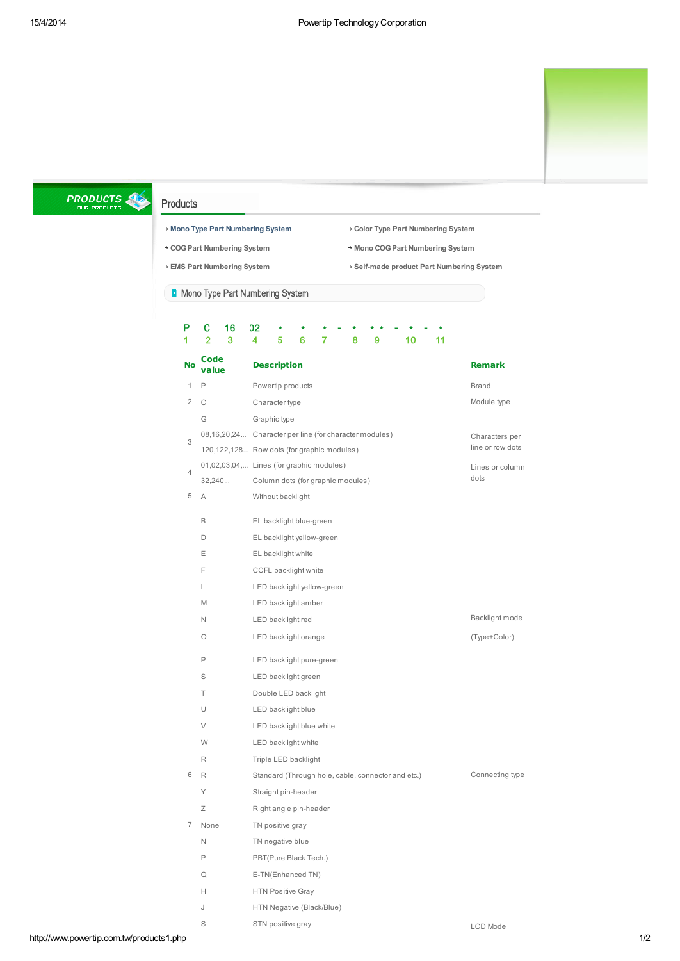

# **PRODUCTS**

## Products

- \* Mono Type Part [Numbering](http://www.powertip.com.tw/products1_1.php) System \* Color Type Part Numbering System
- 
- 
- 
- \* COG Part [Numbering](http://www.powertip.com.tw/products1_3.php) System Mono COG Part Numbering System
- \* EMS Part [Numbering](http://www.powertip.com.tw/products1_5.php) System Self-made product Part Numbering System

**D** Mono Type Part Numbering System

S STN positive gray

| Р              | 16<br>c<br>2<br>3 | 02<br>4<br>5<br>10<br>6<br>7<br>8<br>9<br>11           |                  |
|----------------|-------------------|--------------------------------------------------------|------------------|
| <b>No</b>      | Code<br>value     | <b>Description</b>                                     | <b>Remark</b>    |
| 1              | P                 | Powertip products                                      | <b>Brand</b>     |
| 2              | C                 | Character type                                         | Module type      |
|                | G                 | Graphic type                                           |                  |
|                |                   | 08,16,20,24 Character per line (for character modules) | Characters per   |
| 3              |                   | 120,122,128 Row dots (for graphic modules)             | line or row dots |
| $\overline{4}$ |                   | 01,02,03,04, Lines (for graphic modules)               | Lines or column  |
|                | 32,240            | Column dots (for graphic modules)                      | dots             |
| 5              | Α                 | Without backlight                                      |                  |
|                | B                 | EL backlight blue-green                                |                  |
|                | D                 | EL backlight yellow-green                              |                  |
|                | Ε                 | EL backlight white                                     |                  |
|                | F                 | CCFL backlight white                                   |                  |
|                | L                 | LED backlight yellow-green                             |                  |
|                | M                 | LED backlight amber                                    |                  |
|                | Ν                 | LED backlight red                                      | Backlight mode   |
|                | O                 | LED backlight orange                                   | (Type+Color)     |
|                | P                 | LED backlight pure-green                               |                  |
|                | S                 | LED backlight green                                    |                  |
|                | Τ                 | Double LED backlight                                   |                  |
|                | U                 | LED backlight blue                                     |                  |
|                | V                 | LED backlight blue white                               |                  |
|                | W                 | LED backlight white                                    |                  |
|                | R                 | Triple LED backlight                                   |                  |
| 6              | R                 | Standard (Through hole, cable, connector and etc.)     | Connecting type  |
|                | Υ                 | Straight pin-header                                    |                  |
|                | Ζ                 | Right angle pin-header                                 |                  |
| 7              | None              | TN positive gray                                       |                  |
|                | N                 | TN negative blue                                       |                  |
|                | P                 | PBT(Pure Black Tech.)                                  |                  |
|                | Q                 | E-TN(Enhanced TN)                                      |                  |
|                | Н                 | <b>HTN Positive Gray</b>                               |                  |
|                | J                 | HTN Negative (Black/Blue)                              |                  |

LCD Mode